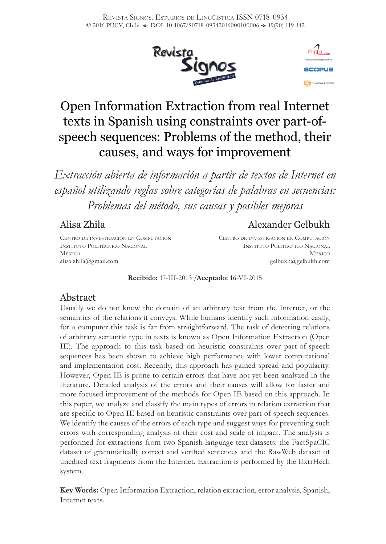



# Open Information Extraction from real Internet texts in Spanish using constraints over part-ofspeech sequences: Problems of the method, their causes, and ways for improvement

*Extracción abierta de información a partir de textos de Internet en español utilizando reglas sobre categorías de palabras en secuencias: Problemas del método, sus causas y posibles mejoras*

## Alisa Zhila

# Alexander Gelbukh

Centro de investigación en Computación Instituto Politécnico Nacional México alisa.zhila@gmail.com

Centro de investigación en Computación Instituto Politécnico Nacional México gelbukh@gelbukh.com

#### **Recibido:** 17-III-2013 /**Aceptado:** 16-VI-2015

## Abstract

Usually we do not know the domain of an arbitrary text from the Internet, or the semantics of the relations it conveys. While humans identify such information easily, for a computer this task is far from straightforward. The task of detecting relations of arbitrary semantic type in texts is known as Open Information Extraction (Open IE). The approach to this task based on heuristic constraints over part-of-speech sequences has been shown to achieve high performance with lower computational and implementation cost. Recently, this approach has gained spread and popularity. However, Open IE is prone to certain errors that have not yet been analyzed in the literature. Detailed analysis of the errors and their causes will allow for faster and more focused improvement of the methods for Open IE based on this approach. In this paper, we analyze and classify the main types of errors in relation extraction that are specific to Open IE based on heuristic constraints over part-of-speech sequences. We identify the causes of the errors of each type and suggest ways for preventing such errors with corresponding analysis of their cost and scale of impact. The analysis is performed for extractions from two Spanish-language text datasets: the FactSpaCIC dataset of grammatically correct and verified sentences and the RawWeb dataset of unedited text fragments from the Internet. Extraction is performed by the ExtrHech system.

**Key Words:** Open Information Extraction, relation extraction, error analysis, Spanish, Internet texts.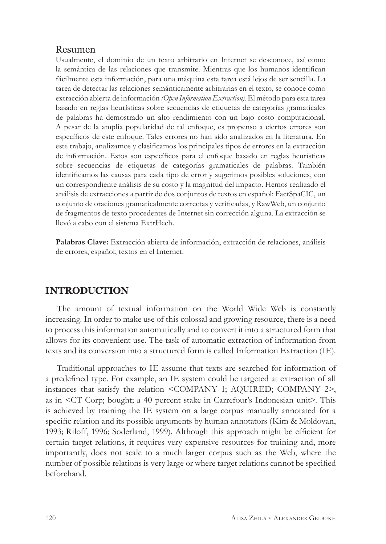#### Resumen

Usualmente, el dominio de un texto arbitrario en Internet se desconoce, así como la semántica de las relaciones que transmite. Mientras que los humanos identifican fácilmente esta información, para una máquina esta tarea está lejos de ser sencilla. La tarea de detectar las relaciones semánticamente arbitrarias en el texto, se conoce como extracción abierta de información *(Open Information Extraction).* El método para esta tarea basado en reglas heurísticas sobre secuencias de etiquetas de categorías gramaticales de palabras ha demostrado un alto rendimiento con un bajo costo computacional. A pesar de la amplia popularidad de tal enfoque, es propenso a ciertos errores son específicos de este enfoque. Tales errores no han sido analizados en la literatura. En este trabajo, analizamos y clasificamos los principales tipos de errores en la extracción de información. Estos son específicos para el enfoque basado en reglas heurísticas sobre secuencias de etiquetas de categorías gramaticales de palabras. También identificamos las causas para cada tipo de error y sugerimos posibles soluciones, con un correspondiente análisis de su costo y la magnitud del impacto. Hemos realizado el análisis de extracciones a partir de dos conjuntos de textos en español: FactSpaCIC, un conjunto de oraciones gramaticalmente correctas y verificadas, y RawWeb, un conjunto de fragmentos de texto procedentes de Internet sin corrección alguna. La extracción se llevó a cabo con el sistema ExtrHech.

**Palabras Clave:** Extracción abierta de información, extracción de relaciones, análisis de errores, español, textos en el Internet.

## **INTRODUCTION**

The amount of textual information on the World Wide Web is constantly increasing. In order to make use of this colossal and growing resource, there is a need to process this information automatically and to convert it into a structured form that allows for its convenient use. The task of automatic extraction of information from texts and its conversion into a structured form is called Information Extraction (IE).

Traditional approaches to IE assume that texts are searched for information of a predefined type. For example, an IE system could be targeted at extraction of all instances that satisfy the relation <COMPANY 1; AQUIRED; COMPANY 2>, as in <CT Corp; bought; a 40 percent stake in Carrefour's Indonesian unit>. This is achieved by training the IE system on a large corpus manually annotated for a specific relation and its possible arguments by human annotators (Kim & Moldovan, 1993; Riloff, 1996; Soderland, 1999). Although this approach might be efficient for certain target relations, it requires very expensive resources for training and, more importantly, does not scale to a much larger corpus such as the Web, where the number of possible relations is very large or where target relations cannot be specified beforehand.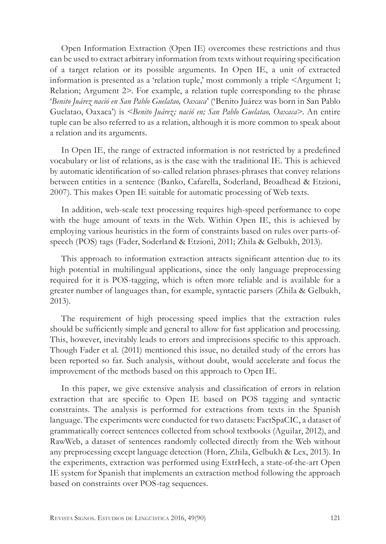Open Information Extraction (Open IE) overcomes these restrictions and thus can be used to extract arbitrary information from texts without requiring specification of a target relation or its possible arguments. In Open IE, a unit of extracted information is presented as a 'relation tuple,' most commonly a triple <Argument 1; Relation; Argument 2>. For example, a relation tuple corresponding to the phrase '*Benito Juárez nació en San Pablo Guelatao, Oaxaca*' ('Benito Juárez was born in San Pablo Guelatao, Oaxaca') is <*Benito Juárez; nació en; San Pablo Guelatao, Oaxaca*>. An entire tuple can be also referred to as a relation, although it is more common to speak about a relation and its arguments.

In Open IE, the range of extracted information is not restricted by a predefined vocabulary or list of relations, as is the case with the traditional IE. This is achieved by automatic identification of so-called relation phrases-phrases that convey relations between entities in a sentence (Banko, Cafarella, Soderland, Broadhead & Etzioni, 2007). This makes Open IE suitable for automatic processing of Web texts.

In addition, web-scale text processing requires high-speed performance to cope with the huge amount of texts in the Web. Within Open IE, this is achieved by employing various heuristics in the form of constraints based on rules over parts-ofspeech (POS) tags (Fader, Soderland & Etzioni, 2011; Zhila & Gelbukh, 2013).

This approach to information extraction attracts significant attention due to its high potential in multilingual applications, since the only language preprocessing required for it is POS-tagging, which is often more reliable and is available for a greater number of languages than, for example, syntactic parsers (Zhila & Gelbukh, 2013).

The requirement of high processing speed implies that the extraction rules should be sufficiently simple and general to allow for fast application and processing. This, however, inevitably leads to errors and imprecisions specific to this approach. Though Fader et al. (2011) mentioned this issue, no detailed study of the errors has been reported so far. Such analysis, without doubt, would accelerate and focus the improvement of the methods based on this approach to Open IE.

In this paper, we give extensive analysis and classification of errors in relation extraction that are specific to Open IE based on POS tagging and syntactic constraints. The analysis is performed for extractions from texts in the Spanish language. The experiments were conducted for two datasets: FactSpaCIC, a dataset of grammatically correct sentences collected from school textbooks (Aguilar, 2012), and RawWeb, a dataset of sentences randomly collected directly from the Web without any preprocessing except language detection (Horn, Zhila, Gelbukh & Lex, 2013). In the experiments, extraction was performed using ExtrHech, a state-of-the-art Open IE system for Spanish that implements an extraction method following the approach based on constraints over POS-tag sequences.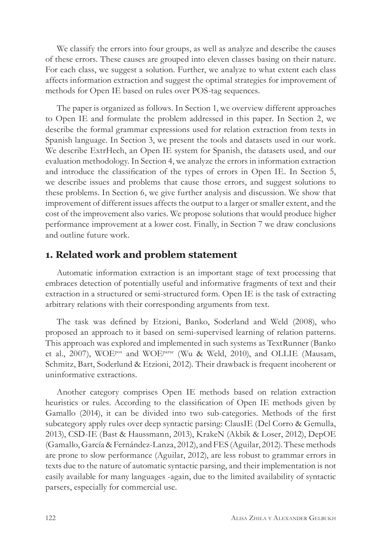We classify the errors into four groups, as well as analyze and describe the causes of these errors. These causes are grouped into eleven classes basing on their nature. For each class, we suggest a solution. Further, we analyze to what extent each class affects information extraction and suggest the optimal strategies for improvement of methods for Open IE based on rules over POS-tag sequences.

The paper is organized as follows. In Section 1, we overview different approaches to Open IE and formulate the problem addressed in this paper. In Section 2, we describe the formal grammar expressions used for relation extraction from texts in Spanish language. In Section 3, we present the tools and datasets used in our work. We describe ExtrHech, an Open IE system for Spanish, the datasets used, and our evaluation methodology. In Section 4, we analyze the errors in information extraction and introduce the classification of the types of errors in Open IE. In Section 5, we describe issues and problems that cause those errors, and suggest solutions to these problems. In Section 6, we give further analysis and discussion. We show that improvement of different issues affects the output to a larger or smaller extent, and the cost of the improvement also varies. We propose solutions that would produce higher performance improvement at a lower cost. Finally, in Section 7 we draw conclusions and outline future work.

## **1. Related work and problem statement**

Automatic information extraction is an important stage of text processing that embraces detection of potentially useful and informative fragments of text and their extraction in a structured or semi-structured form. Open IE is the task of extracting arbitrary relations with their corresponding arguments from text.

The task was defined by Etzioni, Banko, Soderland and Weld (2008), who proposed an approach to it based on semi-supervised learning of relation patterns. This approach was explored and implemented in such systems as TextRunner (Banko et al., 2007), WOEpos and WOEparse (Wu & Weld, 2010), and OLLIE (Mausam, Schmitz, Bart, Soderlund & Etzioni, 2012). Their drawback is frequent incoherent or uninformative extractions.

Another category comprises Open IE methods based on relation extraction heuristics or rules. According to the classification of Open IE methods given by Gamallo (2014), it can be divided into two sub-categories. Methods of the first subcategory apply rules over deep syntactic parsing: ClausIE (Del Corro & Gemulla, 2013), CSD-IE (Bast & Haussmann, 2013), KrakeN (Akbik & Loser, 2012), DepOE (Gamallo, García & Fernández-Lanza, 2012), and FES (Aguilar, 2012). These methods are prone to slow performance (Aguilar, 2012), are less robust to grammar errors in texts due to the nature of automatic syntactic parsing, and their implementation is not easily available for many languages -again, due to the limited availability of syntactic parsers, especially for commercial use.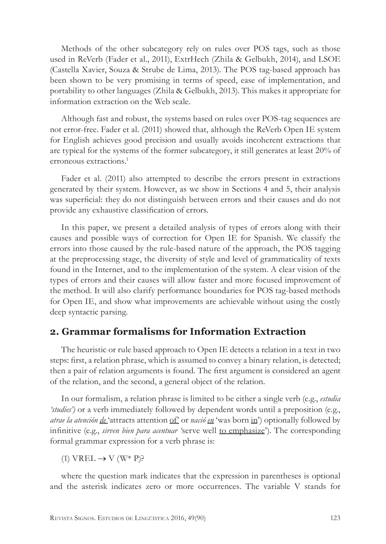Methods of the other subcategory rely on rules over POS tags, such as those used in ReVerb (Fader et al., 2011), ExtrHech (Zhila & Gelbukh, 2014), and LSOE (Castella Xavier, Souza & Strube de Lima, 2013). The POS tag-based approach has been shown to be very promising in terms of speed, ease of implementation, and portability to other languages (Zhila & Gelbukh, 2013). This makes it appropriate for information extraction on the Web scale.

Although fast and robust, the systems based on rules over POS-tag sequences are not error-free. Fader et al. (2011) showed that, although the ReVerb Open IE system for English achieves good precision and usually avoids incoherent extractions that are typical for the systems of the former subcategory, it still generates at least 20% of erroneous extractions.1

Fader et al. (2011) also attempted to describe the errors present in extractions generated by their system. However, as we show in Sections 4 and 5, their analysis was superficial: they do not distinguish between errors and their causes and do not provide any exhaustive classification of errors.

In this paper, we present a detailed analysis of types of errors along with their causes and possible ways of correction for Open IE for Spanish. We classify the errors into those caused by the rule-based nature of the approach, the POS tagging at the preprocessing stage, the diversity of style and level of grammaticality of texts found in the Internet, and to the implementation of the system. A clear vision of the types of errors and their causes will allow faster and more focused improvement of the method. It will also clarify performance boundaries for POS tag-based methods for Open IE, and show what improvements are achievable without using the costly deep syntactic parsing.

## **2. Grammar formalisms for Information Extraction**

The heuristic or rule based approach to Open IE detects a relation in a text in two steps: first, a relation phrase, which is assumed to convey a binary relation, is detected; then a pair of relation arguments is found. The first argument is considered an agent of the relation, and the second, a general object of the relation.

In our formalism, a relation phrase is limited to be either a single verb (e.g., *estudia 'studies')* or a verb immediately followed by dependent words until a preposition (e.g., *atrae la atención de* 'attracts attention of' or *nació en* 'was born in') optionally followed by infinitive (e.g., *sirven bien para acentuar '*serve well to emphasize'). The corresponding formal grammar expression for a verb phrase is:

(1) VREL  $\rightarrow$  V (W\* P)?

where the question mark indicates that the expression in parentheses is optional and the asterisk indicates zero or more occurrences. The variable V stands for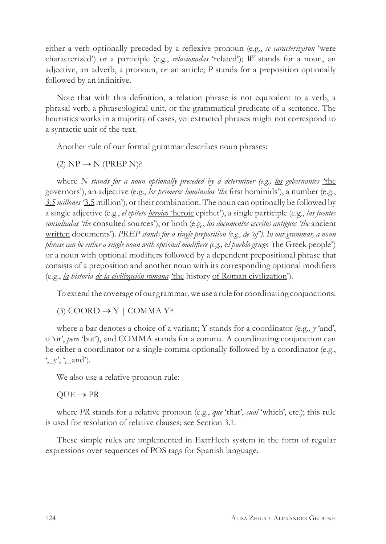either a verb optionally preceded by a reflexive pronoun (e.g., *se caracterizaron* 'were characterized') or a participle (e.g., *relacionadas* 'related'); *W* stands for a noun, an adjective, an adverb, a pronoun, or an article; *P* stands for a preposition optionally followed by an infinitive.

Note that with this definition, a relation phrase is not equivalent to a verb, a phrasal verb, a phraseological unit, or the grammatical predicate of a sentence. The heuristics works in a majority of cases, yet extracted phrases might not correspond to a syntactic unit of the text.

Another rule of our formal grammar describes noun phrases:

 $(2) NP \rightarrow N (PREP N)$ ?

where *N stands for a noun optionally preceded by a determiner (e.g., los gobernantes '*the governors'), an adjective (e.g., *los primeros homínidos 'the* first hominids'), a number (e.g., *3.5 millones '*3.5 million'), or their combination. The noun can optionally be followed by a single adjective (e.g., *el epíteto heroico '*heroic epithet'), a single participle (e.g., *las fuentes consultadas 'the* consulted sources'), or both (e.g., *los documentos escritos antiguos 'the* ancient written documents'). *PREP stands for a single preposition (e.g., de 'of'). In our grammar, a noun phrase can be either a single noun with optional modifiers (e.g.,* e*l pueblo griego '*the Greek people') or a noun with optional modifiers followed by a dependent prepositional phrase that consists of a preposition and another noun with its corresponding optional modifiers (e.g., *la historia de la civilización romana '*the history of Roman civilization').

To extend the coverage of our grammar, we use a rule for coordinating conjunctions:

(3)  $COORD \rightarrow Y$  | COMMA Y?

where a bar denotes a choice of a variant; Y stands for a coordinator (e.g., *y* 'and', o 'or', *pero* 'but'), and COMMA stands for a comma. A coordinating conjunction can be either a coordinator or a single comma optionally followed by a coordinator (e.g., ',\_y', ',\_and').

We also use a relative pronoun rule:

#### $QUE \rightarrow PR$

where *PR* stands for a relative pronoun (e.g., *que* 'that', *cual* 'which', etc.); this rule is used for resolution of relative clauses; see Section 3.1.

These simple rules are implemented in ExtrHech system in the form of regular expressions over sequences of POS tags for Spanish language.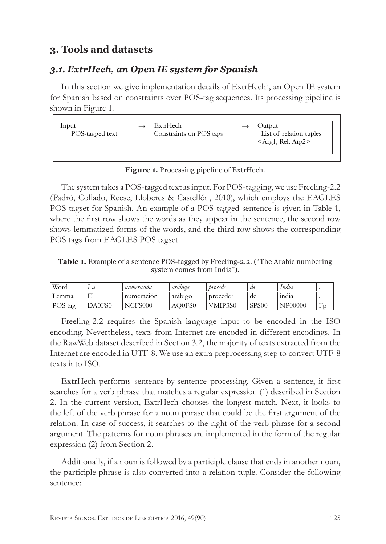# **3. Tools and datasets**

## *3.1. ExtrHech, an Open IE system for Spanish*

In this section we give implementation details of ExtrHech<sup>2</sup>, an Open IE system for Spanish based on constraints over POS-tag sequences. Its processing pipeline is shown in Figure 1.



**Figure 1.** Processing pipeline of ExtrHech.

The system takes a POS-tagged text as input. For POS-tagging, we use Freeling-2.2 (Padró, Collado, Reese, Lloberes & Castellón, 2010), which employs the EAGLES POS tagset for Spanish. An example of a POS-tagged sentence is given in Table 1, where the first row shows the words as they appear in the sentence, the second row shows lemmatized forms of the words, and the third row shows the corresponding POS tags from EAGLES POS tagset.

**Table 1.** Example of a sentence POS-tagged by Freeling-2.2. ("The Arabic numbering system comes from India").

| Word    |        | . .<br>numeración | arabıga | procede  | de                 | India          |    |
|---------|--------|-------------------|---------|----------|--------------------|----------------|----|
| Lemma   | El     | numeracion        | arabigo | proceder | de                 | 1nd1a          |    |
| POS tag | DA0FS0 | NCFS000           | AO0FS0  | VMIP3S0  | SPS <sub>0</sub> C | <b>NP00000</b> | Fr |

Freeling-2.2 requires the Spanish language input to be encoded in the ISO encoding. Nevertheless, texts from Internet are encoded in different encodings. In the RawWeb dataset described in Section 3.2, the majority of texts extracted from the Internet are encoded in UTF-8. We use an extra preprocessing step to convert UTF-8 texts into ISO.

ExtrHech performs sentence-by-sentence processing. Given a sentence, it first searches for a verb phrase that matches a regular expression (1) described in Section 2. In the current version, ExtrHech chooses the longest match. Next, it looks to the left of the verb phrase for a noun phrase that could be the first argument of the relation. In case of success, it searches to the right of the verb phrase for a second argument. The patterns for noun phrases are implemented in the form of the regular expression (2) from Section 2.

Additionally, if a noun is followed by a participle clause that ends in another noun, the participle phrase is also converted into a relation tuple. Consider the following sentence: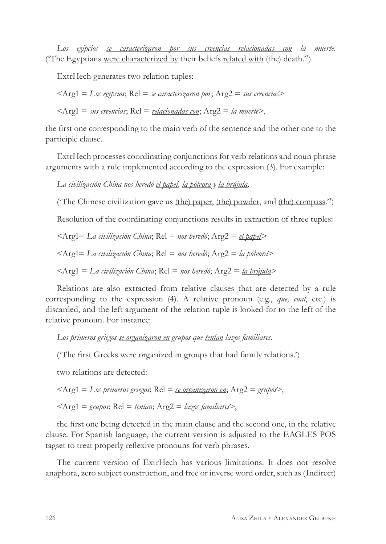*Los egipcios se caracterizaron por sus creencias relacionadas con la muerte.* ('The Egyptians were characterized by their beliefs related with (the) death.'3)

ExtrHech generates two relation tuples:

<Arg1 = *Los egipcios*; Rel = *se caracterizaron por*; Arg2 = *sus creencias*>

<Arg1 = *sus creencias*; Rel = *relacionadas con*; Arg2 = *la muerte*>,

the first one corresponding to the main verb of the sentence and the other one to the participle clause.

ExtrHech processes coordinating conjunctions for verb relations and noun phrase arguments with a rule implemented according to the expression (3). For example:

*La civilización China nos heredó el papel, la pólvora y la brújula.*

('The Chinese civilization gave us (the) paper, (the) powder, and (the) compass.'3 )

Resolution of the coordinating conjunctions results in extraction of three tuples:

<Arg1= *La civilización China*; Rel = *nos heredó*; Arg2 = *el papel*>

<Arg1= *La civilización China*; Rel = *nos heredó*; Arg2 = *la pólvora*>

<Arg1 = *La civilización China*; Rel = *nos heredó*; Arg2 = *la brújula*>

Relations are also extracted from relative clauses that are detected by a rule corresponding to the expression (4). A relative pronoun (e.g., *que, cual*, etc.) is discarded, and the left argument of the relation tuple is looked for to the left of the relative pronoun. For instance:

*Los primeros griegos se organizaron en grupos que tenían lazos familiares*.

('The first Greeks were organized in groups that had family relations.')

two relations are detected:

$$
\langle \text{Arg1} = \text{Los primeros griegos}; \text{Rel} = \text{se organizaron en}; \text{Arg2} = \text{grupos},
$$

$$
\langle Arg1 = \text{grapos}; Rel = \text{tenian}; Arg2 = \text{lazys families} \rangle,
$$

the first one being detected in the main clause and the second one, in the relative clause. For Spanish language, the current version is adjusted to the EAGLES POS tagset to treat properly reflexive pronouns for verb phrases.

The current version of ExtrHech has various limitations. It does not resolve anaphora, zero subject construction, and free or inverse word order, such as (Indirect)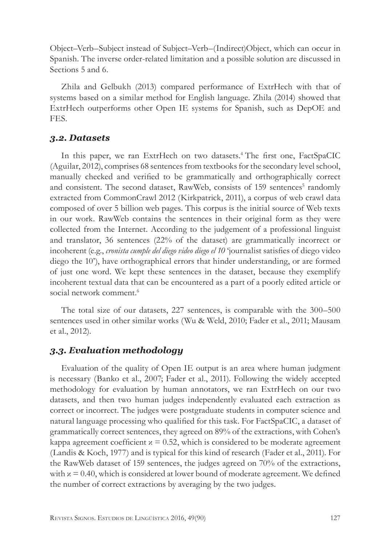Object–Verb–Subject instead of Subject–Verb–(Indirect)Object, which can occur in Spanish. The inverse order-related limitation and a possible solution are discussed in Sections 5 and 6.

Zhila and Gelbukh (2013) compared performance of ExtrHech with that of systems based on a similar method for English language. Zhila (2014) showed that ExtrHech outperforms other Open IE systems for Spanish, such as DepOE and FES.

#### *3.2. Datasets*

In this paper, we ran ExtrHech on two datasets.4 The first one, FactSpaCIC (Aguilar, 2012), comprises 68 sentences from textbooks for the secondary level school, manually checked and verified to be grammatically and orthographically correct and consistent. The second dataset, RawWeb, consists of 159 sentences<sup>5</sup> randomly extracted from CommonCrawl 2012 (Kirkpatrick, 2011), a corpus of web crawl data composed of over 5 billion web pages. This corpus is the initial source of Web texts in our work. RawWeb contains the sentences in their original form as they were collected from the Internet. According to the judgement of a professional linguist and translator, 36 sentences (22% of the dataset) are grammatically incorrect or incoherent (e.g., *cronista cumple del diego video diego el 10* 'journalist satisfies of diego video diego the 10'), have orthographical errors that hinder understanding, or are formed of just one word. We kept these sentences in the dataset, because they exemplify incoherent textual data that can be encountered as a part of a poorly edited article or social network comment.<sup>6</sup>

The total size of our datasets, 227 sentences, is comparable with the 300–500 sentences used in other similar works (Wu & Weld, 2010; Fader et al., 2011; Mausam et al., 2012).

## *3.3. Evaluation methodology*

Evaluation of the quality of Open IE output is an area where human judgment is necessary (Banko et al., 2007; Fader et al., 2011). Following the widely accepted methodology for evaluation by human annotators, we ran ExtrHech on our two datasets, and then two human judges independently evaluated each extraction as correct or incorrect. The judges were postgraduate students in computer science and natural language processing who qualified for this task. For FactSpaCIC, a dataset of grammatically correct sentences, they agreed on 89% of the extractions, with Cohen's kappa agreement coefficient  $x = 0.52$ , which is considered to be moderate agreement (Landis & Koch, 1977) and is typical for this kind of research (Fader et al., 2011). For the RawWeb dataset of 159 sentences, the judges agreed on 70% of the extractions, with  $x = 0.40$ , which is considered at lower bound of moderate agreement. We defined the number of correct extractions by averaging by the two judges.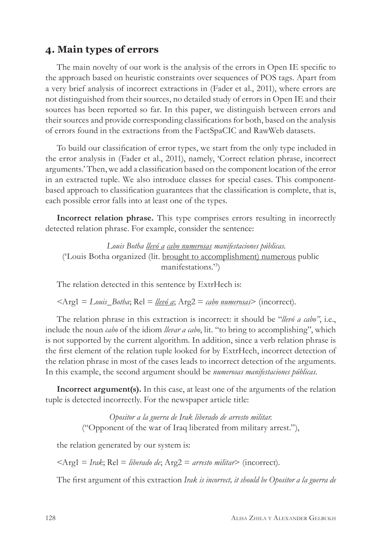## **4. Main types of errors**

The main novelty of our work is the analysis of the errors in Open IE specific to the approach based on heuristic constraints over sequences of POS tags. Apart from a very brief analysis of incorrect extractions in (Fader et al., 2011), where errors are not distinguished from their sources, no detailed study of errors in Open IE and their sources has been reported so far. In this paper, we distinguish between errors and their sources and provide corresponding classifications for both, based on the analysis of errors found in the extractions from the FactSpaCIC and RawWeb datasets.

To build our classification of error types, we start from the only type included in the error analysis in (Fader et al., 2011), namely, 'Correct relation phrase, incorrect arguments.' Then, we add a classification based on the component location of the error in an extracted tuple. We also introduce classes for special cases. This componentbased approach to classification guarantees that the classification is complete, that is, each possible error falls into at least one of the types.

**Incorrect relation phrase.** This type comprises errors resulting in incorrectly detected relation phrase. For example, consider the sentence:

*Louis Botha llevó a cabo numerosas manifestaciones públicas.* ('Louis Botha organized (lit. brought to accomplishment) numerous public manifestations.'3 )

The relation detected in this sentence by ExtrHech is:

<Arg1 = *Louis\_Botha*; Rel = *llevó a*; Arg2 = *cabo numerosas*> (incorrect).

The relation phrase in this extraction is incorrect: it should be "*llevó a cabo"*, i.e., include the noun *cabo* of the idiom *llevar a cabo*, lit. "to bring to accomplishing", which is not supported by the current algorithm. In addition, since a verb relation phrase is the first element of the relation tuple looked for by ExtrHech, incorrect detection of the relation phrase in most of the cases leads to incorrect detection of the arguments. In this example, the second argument should be *numerosas manifestaciones públicas.* 

**Incorrect argument(s).** In this case, at least one of the arguments of the relation tuple is detected incorrectly. For the newspaper article title:

> *Opositor a la guerra de Irak liberado de arresto militar.* ("Opponent of the war of Iraq liberated from military arrest."),

the relation generated by our system is:

<Arg1 = *Irak*; Rel = *liberado de*; Arg2 = *arresto militar*> (incorrect).

The first argument of this extraction *Irak is incorrect, it should be Opositor a la guerra de*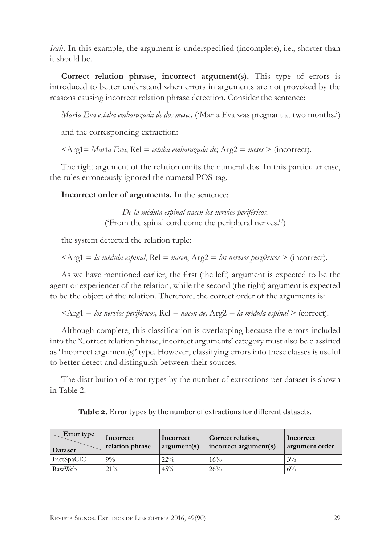*Irak*. In this example, the argument is underspecified (incomplete), i.e., shorter than it should be.

**Correct relation phrase, incorrect argument(s).** This type of errors is introduced to better understand when errors in arguments are not provoked by the reasons causing incorrect relation phrase detection. Consider the sentence:

*Mar*í*a Eva estaba embarazada de dos meses.* ('Maria Eva was pregnant at two months.')

and the corresponding extraction:

<Arg1= *Mar*í*a Eva*; Rel = *estaba embarazada de*; Arg2 = *meses* > (incorrect).

The right argument of the relation omits the numeral dos. In this particular case, the rules erroneously ignored the numeral POS-tag.

**Incorrect order of arguments.** In the sentence:

*De la médula espinal nacen los nervios periféricos.*  ('From the spinal cord come the peripheral nerves.'3 )

the system detected the relation tuple:

<Arg1 = *la médula espinal*, Rel = *nacen*, Arg2 = *los nervios periféricos* > (incorrect).

As we have mentioned earlier, the first (the left) argument is expected to be the agent or experiencer of the relation, while the second (the right) argument is expected to be the object of the relation. Therefore, the correct order of the arguments is:

<Arg1 = *los nervios periféricos,* Rel *= nacen de,* Arg2 *= la médula espinal >* (correct).

Although complete, this classification is overlapping because the errors included into the 'Correct relation phrase, incorrect arguments' category must also be classified as 'Incorrect argument(s)' type. However, classifying errors into these classes is useful to better detect and distinguish between their sources.

The distribution of error types by the number of extractions per dataset is shown in Table 2.

| Error type<br>Dataset | Incorrect<br>relation phrase | Incorrect<br>argument(s) | Correct relation,<br>incorrect argument(s) | Incorrect<br>argument order |
|-----------------------|------------------------------|--------------------------|--------------------------------------------|-----------------------------|
| FactSpaCIC            | $9\%$                        | $22\%$                   | 16%                                        | $3\%$                       |
| RawWeb                | $21\%$                       | 45%                      | 26%                                        | $6\%$                       |

**Table 2.** Error types by the number of extractions for different datasets.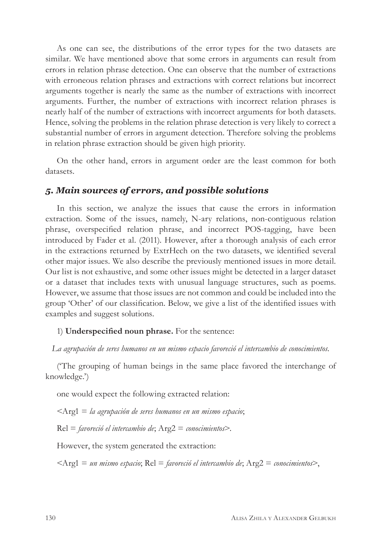As one can see, the distributions of the error types for the two datasets are similar. We have mentioned above that some errors in arguments can result from errors in relation phrase detection. One can observe that the number of extractions with erroneous relation phrases and extractions with correct relations but incorrect arguments together is nearly the same as the number of extractions with incorrect arguments. Further, the number of extractions with incorrect relation phrases is nearly half of the number of extractions with incorrect arguments for both datasets. Hence, solving the problems in the relation phrase detection is very likely to correct a substantial number of errors in argument detection. Therefore solving the problems in relation phrase extraction should be given high priority.

On the other hand, errors in argument order are the least common for both datasets.

#### *5. Main sources of errors, and possible solutions*

In this section, we analyze the issues that cause the errors in information extraction. Some of the issues, namely, N-ary relations, non-contiguous relation phrase, overspecified relation phrase, and incorrect POS-tagging, have been introduced by Fader et al. (2011). However, after a thorough analysis of each error in the extractions returned by ExtrHech on the two datasets, we identified several other major issues. We also describe the previously mentioned issues in more detail. Our list is not exhaustive, and some other issues might be detected in a larger dataset or a dataset that includes texts with unusual language structures, such as poems. However, we assume that those issues are not common and could be included into the group 'Other' of our classification. Below, we give a list of the identified issues with examples and suggest solutions.

#### 1) **Underspecified noun phrase.** For the sentence:

*La agrupación de seres humanos en un mismo espacio favoreció el intercambio de conocimientos.*

('The grouping of human beings in the same place favored the interchange of knowledge.')

one would expect the following extracted relation:

<Arg1 = *la agrupación de seres humanos en un mismo espacio*;

Rel = *favoreció el intercambio de*; Arg2 = *conocimientos*>.

However, the system generated the extraction:

<Arg1 = *un mismo espacio*; Rel = *favoreció el intercambio de*; Arg2 = *conocimientos*>,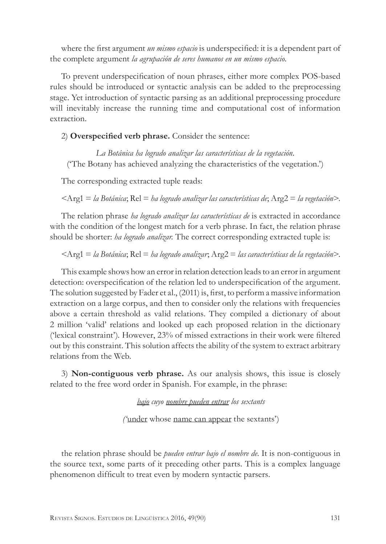where the first argument *un mismo espacio* is underspecified: it is a dependent part of the complete argument *la agrupación de seres humanos en un mismo espacio*.

To prevent underspecification of noun phrases, either more complex POS-based rules should be introduced or syntactic analysis can be added to the preprocessing stage. Yet introduction of syntactic parsing as an additional preprocessing procedure will inevitably increase the running time and computational cost of information extraction.

#### 2) **Overspecified verb phrase.** Consider the sentence:

*La Botánica ha logrado analizar las características de la vegetación*. ('The Botany has achieved analyzing the characteristics of the vegetation.')

The corresponding extracted tuple reads:

<Arg1 = *la Botánica*; Rel = *ha logrado analizar las características de*; Arg2 = *la vegetación*>.

The relation phrase *ha logrado analizar las características de* is extracted in accordance with the condition of the longest match for a verb phrase. In fact, the relation phrase should be shorter: *ha logrado analizar.* The correct corresponding extracted tuple is:

<Arg1 = *la Botánica*; Rel = *ha logrado analizar*; Arg2 = *las características de la vegetación*>.

This example shows how an error in relation detection leads to an error in argument detection: overspecification of the relation led to underspecification of the argument. The solution suggested by Fader et al., (2011) is, first, to perform a massive information extraction on a large corpus, and then to consider only the relations with frequencies above a certain threshold as valid relations. They compiled a dictionary of about 2 million 'valid' relations and looked up each proposed relation in the dictionary ('lexical constraint'). However, 23% of missed extractions in their work were filtered out by this constraint. This solution affects the ability of the system to extract arbitrary relations from the Web.

3) **Non-contiguous verb phrase.** As our analysis shows, this issue is closely related to the free word order in Spanish. For example, in the phrase:

*bajo cuyo nombre pueden entrar los sextants* 

*('*under whose name can appear the sextants')

the relation phrase should be *pueden entrar bajo el nombre de*. It is non-contiguous in the source text, some parts of it preceding other parts. This is a complex language phenomenon difficult to treat even by modern syntactic parsers.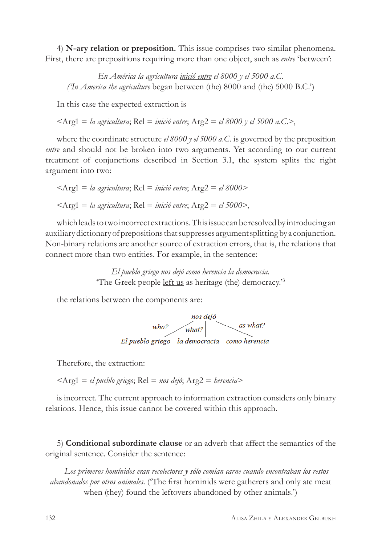4) **N-ary relation or preposition.** This issue comprises two similar phenomena. First, there are prepositions requiring more than one object, such as *entre* 'between':

*En América la agricultura inició entre el 8000 y el 5000 a.C. ('In America the agriculture* began between (the) 8000 and (the) 5000 B.C.')

In this case the expected extraction is

 $\langle A_{\text{rg}}^2 \rangle = \frac{1}{4}$  agricultura; Rel = *inició entre*; Arg2 = *el 8000* y *el 5000 a.C.* 

where the coordinate structure *el 8000 y el 5000 a.C.* is governed by the preposition *entre* and should not be broken into two arguments. Yet according to our current treatment of conjunctions described in Section 3.1, the system splits the right argument into two:

$$
\langle \text{Arg1} = la agricultura; \text{Rel} = inició entre; \text{Arg2} = el 8000 \rangle
$$
  

$$
\langle \text{Arg1} = la agricultura; \text{Rel} = inició entre; \text{Arg2} = el 5000 \rangle,
$$

which leads to two incorrect extractions. This issue can be resolved by introducing an auxiliary dictionary of prepositions that suppresses argument splitting by a conjunction. Non-binary relations are another source of extraction errors, that is, the relations that connect more than two entities. For example, in the sentence:

> *El pueblo griego nos dejó como herencia la democracia.* 'The Greek people left us as heritage (the) democracy.'3

the relations between the components are:



Therefore, the extraction:

<Arg1 = *el pueblo griego*; Rel = *nos dejó*; Arg2 = *herencia*>

is incorrect. The current approach to information extraction considers only binary relations. Hence, this issue cannot be covered within this approach.

5) **Conditional subordinate clause** or an adverb that affect the semantics of the original sentence. Consider the sentence:

*Los primeros homínidos eran recolectores y sólo comían carne cuando encontraban los restos abandonados por otros animales*. ('The first hominids were gatherers and only ate meat when (they) found the leftovers abandoned by other animals.')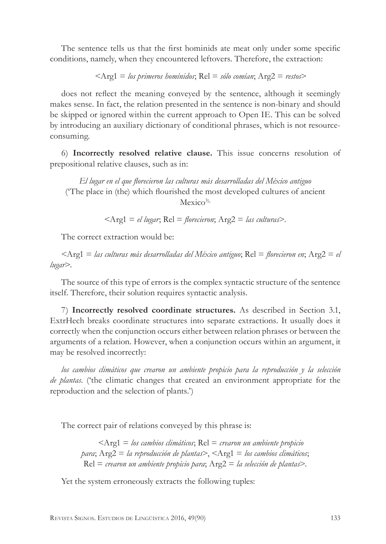The sentence tells us that the first hominids ate meat only under some specific conditions, namely, when they encountered leftovers. Therefore, the extraction:

$$
\langle Arg1 = \textit{los primeros homínidos}; Rel = \textit{sólo comían}; Arg2 = \textit{restos}\rangle
$$

does not reflect the meaning conveyed by the sentence, although it seemingly makes sense. In fact, the relation presented in the sentence is non-binary and should be skipped or ignored within the current approach to Open IE. This can be solved by introducing an auxiliary dictionary of conditional phrases, which is not resourceconsuming.

6) **Incorrectly resolved relative clause.** This issue concerns resolution of prepositional relative clauses, such as in:

*El lugar en el que florecieron las culturas más desarrolladas del México antiguo* ('The place in (the) which flourished the most developed cultures of ancient  $Mexico<sup>3</sup>$ ,

<Arg1 = *el lugar*; Rel = *florecieron*; Arg2 = *las culturas*>.

The correct extraction would be:

<Arg1 = *las culturas más desarrolladas del México antiguo*; Rel = *florecieron en*; Arg2 = *el lugar*>.

The source of this type of errors is the complex syntactic structure of the sentence itself. Therefore, their solution requires syntactic analysis.

7) **Incorrectly resolved coordinate structures.** As described in Section 3.1, ExtrHech breaks coordinate structures into separate extractions. It usually does it correctly when the conjunction occurs either between relation phrases or between the arguments of a relation. However, when a conjunction occurs within an argument, it may be resolved incorrectly:

*los cambios climáticos que crearon un ambiente propicio para la reproducción y la selección de plantas*. ('the climatic changes that created an environment appropriate for the reproduction and the selection of plants.')

The correct pair of relations conveyed by this phrase is:

<Arg1 = *los cambios climáticos*; Rel = *crearon un ambiente propicio para*; Arg2 = *la reproducción de plantas*>, <Arg1 = *los cambios climáticos*; Rel = *crearon un ambiente propicio para*; Arg2 = *la selección de plantas*>.

Yet the system erroneously extracts the following tuples: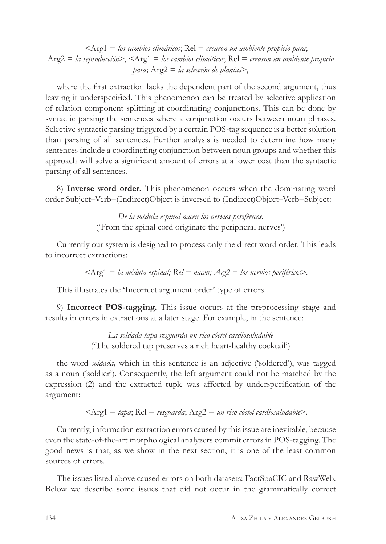<Arg1 = *los cambios climáticos*; Rel = *crearon un ambiente propicio para*; Arg2 = *la reproducción*>, <Arg1 = *los cambios climáticos*; Rel = *crearon un ambiente propicio para*; Arg2 = *la selección de plantas*>,

where the first extraction lacks the dependent part of the second argument, thus leaving it underspecified. This phenomenon can be treated by selective application of relation component splitting at coordinating conjunctions. This can be done by syntactic parsing the sentences where a conjunction occurs between noun phrases. Selective syntactic parsing triggered by a certain POS-tag sequence is a better solution than parsing of all sentences. Further analysis is needed to determine how many sentences include a coordinating conjunction between noun groups and whether this approach will solve a significant amount of errors at a lower cost than the syntactic parsing of all sentences.

8) **Inverse word order.** This phenomenon occurs when the dominating word order Subject–Verb–(Indirect)Object is inversed to (Indirect)Object–Verb–Subject:

> *De la médula espinal nacen los nervios periféricos*. ('From the spinal cord originate the peripheral nerves')

Currently our system is designed to process only the direct word order. This leads to incorrect extractions:

<Arg1 = *la médula espinal; Rel = nacen; Arg2 = los nervios periféricos>.*

This illustrates the 'Incorrect argument order' type of errors.

9) **Incorrect POS-tagging.** This issue occurs at the preprocessing stage and results in errors in extractions at a later stage. For example, in the sentence:

> *La soldada tapa resguarda un rico cóctel cardiosaludable* ('The soldered tap preserves a rich heart-healthy cocktail')

the word *soldada,* which in this sentence is an adjective ('soldered'), was tagged as a noun ('soldier'). Consequently, the left argument could not be matched by the expression (2) and the extracted tuple was affected by underspecification of the argument:

$$
\langle \text{Arg1} = \text{tapa}; \text{Rel} = \text{resguarda}; \text{Arg2} = \text{un rico córtel cardiosaludable} \rangle.
$$

Currently, information extraction errors caused by this issue are inevitable, because even the state-of-the-art morphological analyzers commit errors in POS-tagging. The good news is that, as we show in the next section, it is one of the least common sources of errors.

The issues listed above caused errors on both datasets: FactSpaCIC and RawWeb. Below we describe some issues that did not occur in the grammatically correct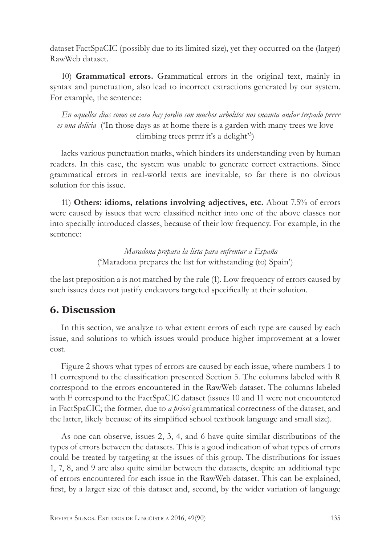dataset FactSpaCIC (possibly due to its limited size), yet they occurred on the (larger) RawWeb dataset.

10) **Grammatical errors.** Grammatical errors in the original text, mainly in syntax and punctuation, also lead to incorrect extractions generated by our system. For example, the sentence:

*En aquellos dias como en casa hay jardin con muchos arbolitos nos encanta andar trepado prrrr es una delicia* ('In those days as at home there is a garden with many trees we love climbing trees prrrr it's a delight'3 )

lacks various punctuation marks, which hinders its understanding even by human readers. In this case, the system was unable to generate correct extractions. Since grammatical errors in real-world texts are inevitable, so far there is no obvious solution for this issue.

11) **Others: idioms, relations involving adjectives, etc.** About 7.5% of errors were caused by issues that were classified neither into one of the above classes nor into specially introduced classes, because of their low frequency. For example, in the sentence:

> *Maradona prepara la lista para enfrentar a España* ('Maradona prepares the list for withstanding (to) Spain')

the last preposition a is not matched by the rule (1). Low frequency of errors caused by such issues does not justify endeavors targeted specifically at their solution.

## **6. Discussion**

In this section, we analyze to what extent errors of each type are caused by each issue, and solutions to which issues would produce higher improvement at a lower cost.

Figure 2 shows what types of errors are caused by each issue, where numbers 1 to 11 correspond to the classification presented Section 5. The columns labeled with R correspond to the errors encountered in the RawWeb dataset. The columns labeled with F correspond to the FactSpaCIC dataset (issues 10 and 11 were not encountered in FactSpaCIC; the former, due to *a priori* grammatical correctness of the dataset, and the latter, likely because of its simplified school textbook language and small size).

As one can observe, issues 2, 3, 4, and 6 have quite similar distributions of the types of errors between the datasets. This is a good indication of what types of errors could be treated by targeting at the issues of this group. The distributions for issues 1, 7, 8, and 9 are also quite similar between the datasets, despite an additional type of errors encountered for each issue in the RawWeb dataset. This can be explained, first, by a larger size of this dataset and, second, by the wider variation of language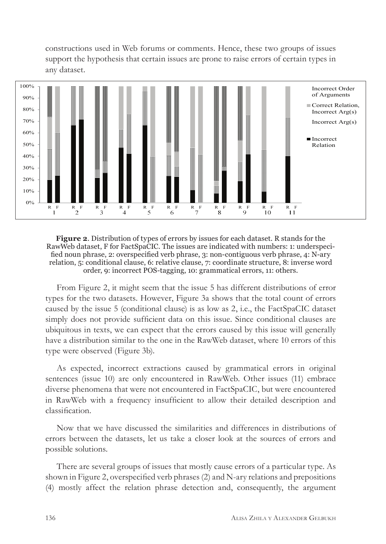constructions used in Web forums or comments. Hence, these two groups of issues support the hypothesis that certain issues are prone to raise errors of certain types in any dataset.



**Figure 2**. Distribution of types of errors by issues for each dataset. R stands for the RawWeb dataset, F for FactSpaCIC. The issues are indicated with numbers: 1: underspecified noun phrase, 2: overspecified verb phrase, 3: non-contiguous verb phrase, 4: N-ary relation, 5: conditional clause, 6: relative clause, 7: coordinate structure, 8: inverse word order, 9: incorrect POS-tagging, 10: grammatical errors, 11: others.

From Figure 2, it might seem that the issue 5 has different distributions of error types for the two datasets. However, Figure 3a shows that the total count of errors caused by the issue 5 (conditional clause) is as low as 2, i.e., the FactSpaCIC dataset simply does not provide sufficient data on this issue. Since conditional clauses are ubiquitous in texts, we can expect that the errors caused by this issue will generally have a distribution similar to the one in the RawWeb dataset, where 10 errors of this type were observed (Figure 3b).

As expected, incorrect extractions caused by grammatical errors in original sentences (issue 10) are only encountered in RawWeb. Other issues (11) embrace diverse phenomena that were not encountered in FactSpaCIC, but were encountered in RawWeb with a frequency insufficient to allow their detailed description and classification.

Now that we have discussed the similarities and differences in distributions of errors between the datasets, let us take a closer look at the sources of errors and possible solutions.

There are several groups of issues that mostly cause errors of a particular type. As shown in Figure 2, overspecified verb phrases (2) and N-ary relations and prepositions (4) mostly affect the relation phrase detection and, consequently, the argument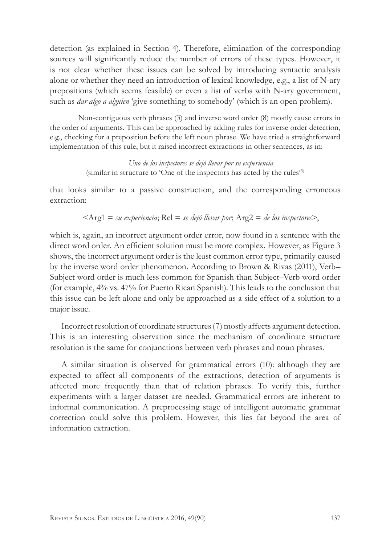detection (as explained in Section 4). Therefore, elimination of the corresponding sources will significantly reduce the number of errors of these types. However, it is not clear whether these issues can be solved by introducing syntactic analysis alone or whether they need an introduction of lexical knowledge, e.g., a list of N-ary prepositions (which seems feasible) or even a list of verbs with N-ary government, such as *dar algo a alguien* 'give something to somebody' (which is an open problem).

Non-contiguous verb phrases (3) and inverse word order (8) mostly cause errors in the order of arguments. This can be approached by adding rules for inverse order detection, e.g., checking for a preposition before the left noun phrase. We have tried a straightforward implementation of this rule, but it raised incorrect extractions in other sentences, as in:

> *Uno de los inspectores se dejó llevar por su experiencia* (similar in structure to 'One of the inspectors has acted by the rules'3)

that looks similar to a passive construction, and the corresponding erroneous extraction:

$$
\langle \text{Arg1} = \text{su} \text{ experiencia}; \text{Rel} = \text{se dejó llevar por}; \text{Arg2} = \text{de los inspectores} \rangle,
$$

which is, again, an incorrect argument order error, now found in a sentence with the direct word order. An efficient solution must be more complex. However, as Figure 3 shows, the incorrect argument order is the least common error type, primarily caused by the inverse word order phenomenon. According to Brown & Rivas (2011), Verb– Subject word order is much less common for Spanish than Subject–Verb word order (for example, 4% vs. 47% for Puerto Rican Spanish). This leads to the conclusion that this issue can be left alone and only be approached as a side effect of a solution to a major issue.

Incorrect resolution of coordinate structures (7) mostly affects argument detection. This is an interesting observation since the mechanism of coordinate structure resolution is the same for conjunctions between verb phrases and noun phrases.

A similar situation is observed for grammatical errors (10): although they are expected to affect all components of the extractions, detection of arguments is affected more frequently than that of relation phrases. To verify this, further experiments with a larger dataset are needed. Grammatical errors are inherent to informal communication. A preprocessing stage of intelligent automatic grammar correction could solve this problem. However, this lies far beyond the area of information extraction.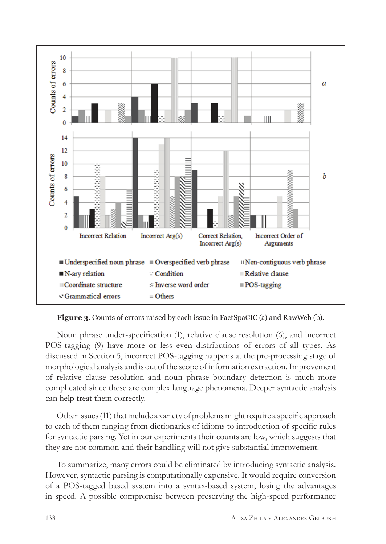

**Figure 3**. Counts of errors raised by each issue in FactSpaCIC (a) and RawWeb (b).

Noun phrase under-specification (1), relative clause resolution (6), and incorrect POS-tagging (9) have more or less even distributions of errors of all types. As discussed in Section 5, incorrect POS-tagging happens at the pre-processing stage of morphological analysis and is out of the scope of information extraction. Improvement of relative clause resolution and noun phrase boundary detection is much more complicated since these are complex language phenomena. Deeper syntactic analysis can help treat them correctly.

Other issues (11) that include a variety of problems might require a specific approach to each of them ranging from dictionaries of idioms to introduction of specific rules for syntactic parsing. Yet in our experiments their counts are low, which suggests that they are not common and their handling will not give substantial improvement.

To summarize, many errors could be eliminated by introducing syntactic analysis. However, syntactic parsing is computationally expensive. It would require conversion of a POS-tagged based system into a syntax-based system, losing the advantages in speed. A possible compromise between preserving the high-speed performance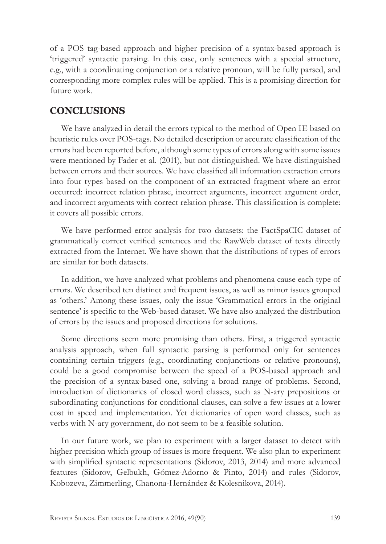of a POS tag-based approach and higher precision of a syntax-based approach is 'triggered' syntactic parsing. In this case, only sentences with a special structure, e.g., with a coordinating conjunction or a relative pronoun, will be fully parsed, and corresponding more complex rules will be applied. This is a promising direction for future work.

## **CONCLUSIONS**

We have analyzed in detail the errors typical to the method of Open IE based on heuristic rules over POS-tags. No detailed description or accurate classification of the errors had been reported before, although some types of errors along with some issues were mentioned by Fader et al. (2011), but not distinguished. We have distinguished between errors and their sources. We have classified all information extraction errors into four types based on the component of an extracted fragment where an error occurred: incorrect relation phrase, incorrect arguments, incorrect argument order, and incorrect arguments with correct relation phrase. This classification is complete: it covers all possible errors.

We have performed error analysis for two datasets: the FactSpaCIC dataset of grammatically correct verified sentences and the RawWeb dataset of texts directly extracted from the Internet. We have shown that the distributions of types of errors are similar for both datasets.

In addition, we have analyzed what problems and phenomena cause each type of errors. We described ten distinct and frequent issues, as well as minor issues grouped as 'others.' Among these issues, only the issue 'Grammatical errors in the original sentence' is specific to the Web-based dataset. We have also analyzed the distribution of errors by the issues and proposed directions for solutions.

Some directions seem more promising than others. First, a triggered syntactic analysis approach, when full syntactic parsing is performed only for sentences containing certain triggers (e.g., coordinating conjunctions or relative pronouns), could be a good compromise between the speed of a POS-based approach and the precision of a syntax-based one, solving a broad range of problems. Second, introduction of dictionaries of closed word classes, such as N-ary prepositions or subordinating conjunctions for conditional clauses, can solve a few issues at a lower cost in speed and implementation. Yet dictionaries of open word classes, such as verbs with N-ary government, do not seem to be a feasible solution.

In our future work, we plan to experiment with a larger dataset to detect with higher precision which group of issues is more frequent. We also plan to experiment with simplified syntactic representations (Sidorov, 2013, 2014) and more advanced features (Sidorov, Gelbukh, Gómez-Adorno & Pinto, 2014) and rules (Sidorov, Kobozeva, Zimmerling, Chanona-Hernández & Kolesnikova, 2014).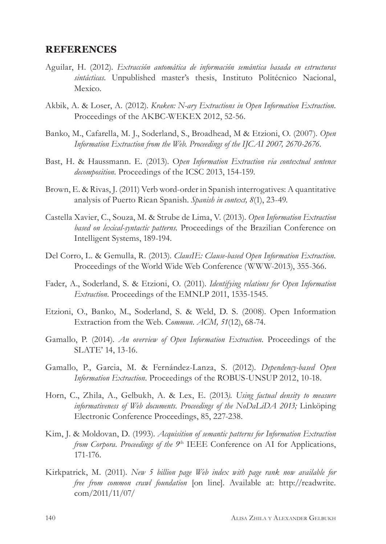#### **REFERENCES**

- Aguilar, H. (2012). *Extracción automática de información semántica basada en estructuras sintácticas*. Unpublished master's thesis, Instituto Politécnico Nacional, Mexico.
- Akbik, A. & Loser, A. (2012). *Kraken: N-ary Extractions in Open Information Extraction*. Proceedings of the AKBC-WEKEX 2012, 52-56.
- Banko, M., Cafarella, M. J., Soderland, S., Broadhead, M & Etzioni, O. (2007). *Open Information Extraction from the Web. Proceedings of the IJCAI 2007, 2670-2676.*
- Bast, H. & Haussmann. E. (2013). O*pen Information Extraction via contextual sentence decomposition.* Proceedings of the ICSC 2013, 154-159.
- Brown, E. & Rivas, J. (2011) Verb word-order in Spanish interrogatives: A quantitative analysis of Puerto Rican Spanish. *Spanish in context, 8*(1), 23-49.
- Castella Xavier, C., Souza, M. & Strube de Lima, V. (2013). *Open Information Extraction based on lexical-syntactic patterns.* Proceedings of the Brazilian Conference on Intelligent Systems, 189-194.
- Del Corro, L. & Gemulla, R. (2013). *ClausIE: Clause-based Open Information Extraction.* Proceedings of the World Wide Web Conference (WWW-2013), 355-366.
- Fader, A., Soderland, S. & Etzioni, O. (2011). *Identifying relations for Open Information Extraction.* Proceedings of the EMNLP 2011, 1535-1545.
- Etzioni, O., Banko, M., Soderland, S. & Weld, D. S. (2008). Open Information Extraction from the Web. C*ommun. ACM, 51*(12), 68-74.
- Gamallo, P. (2014). *An overview of Open Information Extraction.* Proceedings of the SLATE' 14, 13-16.
- Gamallo, P., Garcia, M. & Fernández-Lanza, S. (2012). *Dependency-based Open Information Extraction.* Proceedings of the ROBUS-UNSUP 2012, 10-18.
- Horn, C., Zhila, A., Gelbukh, A. & Lex, E. (2013*). Using factual density to measure informativeness of Web documents. Proceedings of the NoDaLiDA 2013;* Linköping Electronic Conference Proceedings, 85, 227-238.
- Kim, J. & Moldovan, D. (1993). *Acquisition of semantic patterns for Information Extraction from Corpora. Proceedings of the 9<sup>th</sup>* IEEE Conference on AI for Applications, 171-176.
- Kirkpatrick, M. (2011). *New 5 billion page Web index with page rank now available for free from common crawl foundation* [on line]. Available at: http://readwrite. com/2011/11/07/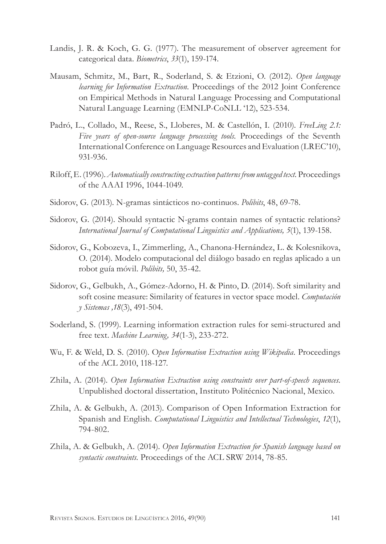- Landis, J. R. & Koch, G. G. (1977). The measurement of observer agreement for categorical data. *Biometrics*, *33*(1), 159-174.
- Mausam, Schmitz, M., Bart, R., Soderland, S. & Etzioni, O. (2012). *Open language learning for Information Extraction.* Proceedings of the 2012 Joint Conference on Empirical Methods in Natural Language Processing and Computational Natural Language Learning (EMNLP-CoNLL '12), 523-534.
- Padró, L., Collado, M., Reese, S., Lloberes, M. & Castellón, I. (2010). *FreeLing 2.1: Five years of open-source language processing tools.* Proceedings of the Seventh International Conference on Language Resources and Evaluation (LREC'10), 931-936.
- Riloff, E. (1996). *Automatically constructing extraction patterns from untagged text.* Proceedings of the AAAI 1996, 1044-1049.
- Sidorov, G. (2013). N-gramas sintácticos no-continuos. *Polibits*, 48, 69-78.
- Sidorov, G. (2014). Should syntactic N-grams contain names of syntactic relations? *International Journal of Computational Linguistics and Applications, 5*(1), 139-158.
- Sidorov, G., Kobozeva, I., Zimmerling, A., Chanona-Hernández, L. & Kolesnikova, O. (2014). Modelo computacional del diálogo basado en reglas aplicado a un robot guía móvil. *Polibits,* 50, 35-42.
- Sidorov, G., Gelbukh, A., Gómez-Adorno, H. & Pinto, D. (2014). Soft similarity and soft cosine measure: Similarity of features in vector space model. *Computación y Sistemas ,18*(3), 491-504.
- Soderland, S. (1999). Learning information extraction rules for semi-structured and free text. *Machine Learning, 34*(1-3), 233-272.
- Wu, F. & Weld, D. S. (2010). O*pen Information Extraction using Wikipedia.* Proceedings of the ACL 2010, 118-127.
- Zhila, A. (2014). *Open Information Extraction using constraints over part-of-speech sequences*. Unpublished doctoral dissertation, Instituto Politécnico Nacional, Mexico.
- Zhila, A. & Gelbukh, A. (2013). Comparison of Open Information Extraction for Spanish and English. *Computational Linguistics and Intellectual Technologies*, *12*(1), 794-802.
- Zhila, A. & Gelbukh, A. (2014). *Open Information Extraction for Spanish language based on syntactic constraints.* Proceedings of the ACL SRW 2014, 78-85.